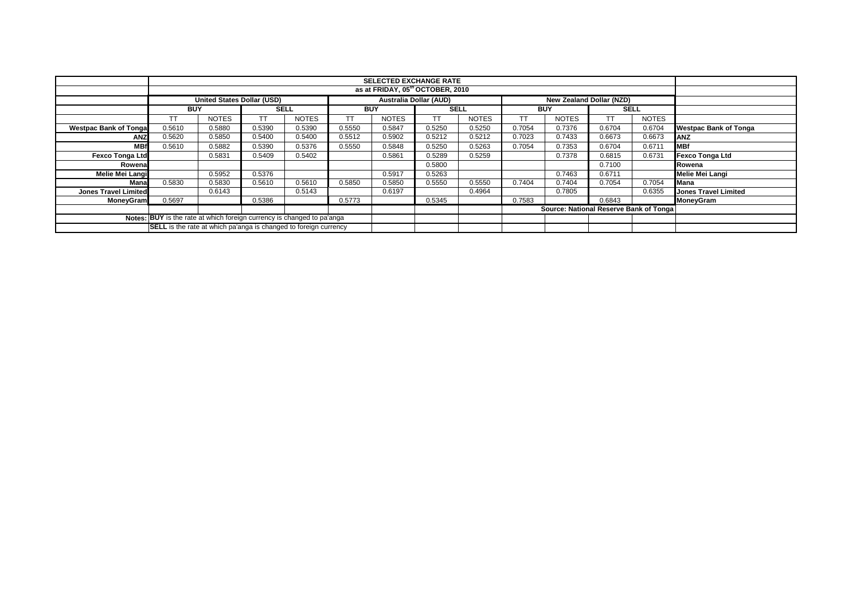|                                                                        |                                                                                                       | <b>SELECTED EXCHANGE RATE</b><br>as at FRIDAY, 05th OCTOBER, 2010 |        |              |        |              |             |              |            |                                        |        |              |                              |
|------------------------------------------------------------------------|-------------------------------------------------------------------------------------------------------|-------------------------------------------------------------------|--------|--------------|--------|--------------|-------------|--------------|------------|----------------------------------------|--------|--------------|------------------------------|
|                                                                        |                                                                                                       |                                                                   |        |              |        |              |             |              |            |                                        |        |              |                              |
|                                                                        | <b>United States Dollar (USD)</b><br><b>Australia Dollar (AUD)</b><br><b>New Zealand Dollar (NZD)</b> |                                                                   |        |              |        |              |             |              |            |                                        |        |              |                              |
|                                                                        | <b>BUY</b>                                                                                            |                                                                   |        | <b>SELL</b>  |        | <b>BUY</b>   | <b>SELL</b> |              | <b>BUY</b> |                                        |        | <b>SELL</b>  |                              |
|                                                                        | TТ                                                                                                    | <b>NOTES</b>                                                      | тт     | <b>NOTES</b> | TT     | <b>NOTES</b> | ТT          | <b>NOTES</b> |            | <b>NOTES</b>                           | тт     | <b>NOTES</b> |                              |
| <b>Westpac Bank of Tonga</b>                                           | 0.5610                                                                                                | 0.5880                                                            | 0.5390 | 0.5390       | 0.5550 | 0.5847       | 0.5250      | 0.5250       | 0.7054     | 0.7376                                 | 0.6704 | 0.6704       | <b>Westpac Bank of Tonga</b> |
| ANZ                                                                    | 0.5620                                                                                                | 0.5850                                                            | 0.5400 | 0.5400       | 0.5512 | 0.5902       | 0.5212      | 0.5212       | 0.7023     | 0.7433                                 | 0.6673 | 0.6673       | ANZ                          |
| <b>MBf</b>                                                             | 0.5610                                                                                                | 0.5882                                                            | 0.5390 | 0.5376       | 0.5550 | 0.5848       | 0.5250      | 0.5263       | 0.7054     | 0.7353                                 | 0.6704 | 0.6711       | <b>MBf</b>                   |
| <b>Fexco Tonga Ltd</b>                                                 |                                                                                                       | 0.5831                                                            | 0.5409 | 0.5402       |        | 0.5861       | 0.5289      | 0.5259       |            | 0.7378                                 | 0.6815 | 0.6731       | <b>Fexco Tonga Ltd</b>       |
| Rowenal                                                                |                                                                                                       |                                                                   |        |              |        |              | 0.5800      |              |            |                                        | 0.7100 |              | Rowena                       |
| Melie Mei Langi                                                        |                                                                                                       | 0.5952                                                            | 0.5376 |              |        | 0.5917       | 0.5263      |              |            | 0.7463                                 | 0.6711 |              | Melie Mei Langi              |
| Mana                                                                   | 0.5830                                                                                                | 0.5830                                                            | 0.5610 | 0.5610       | 0.5850 | 0.5850       | 0.5550      | 0.5550       | 0.7404     | 0.7404                                 | 0.7054 | 0.7054       | Mana                         |
| <b>Jones Travel Limited</b>                                            |                                                                                                       | 0.6143                                                            |        | 0.5143       |        | 0.6197       |             | 0.4964       |            | 0.7805                                 |        | 0.6355       | <b>Jones Travel Limited</b>  |
| <b>MoneyGram</b>                                                       | 0.5697                                                                                                |                                                                   | 0.5386 |              | 0.5773 |              | 0.5345      |              | 0.7583     |                                        | 0.6843 |              | MoneyGram                    |
|                                                                        |                                                                                                       |                                                                   |        |              |        |              |             |              |            | Source: National Reserve Bank of Tonga |        |              |                              |
| Notes: BUY is the rate at which foreign currency is changed to pa'anga |                                                                                                       |                                                                   |        |              |        |              |             |              |            |                                        |        |              |                              |
|                                                                        | <b>SELL</b> is the rate at which pa'anga is changed to foreign currency                               |                                                                   |        |              |        |              |             |              |            |                                        |        |              |                              |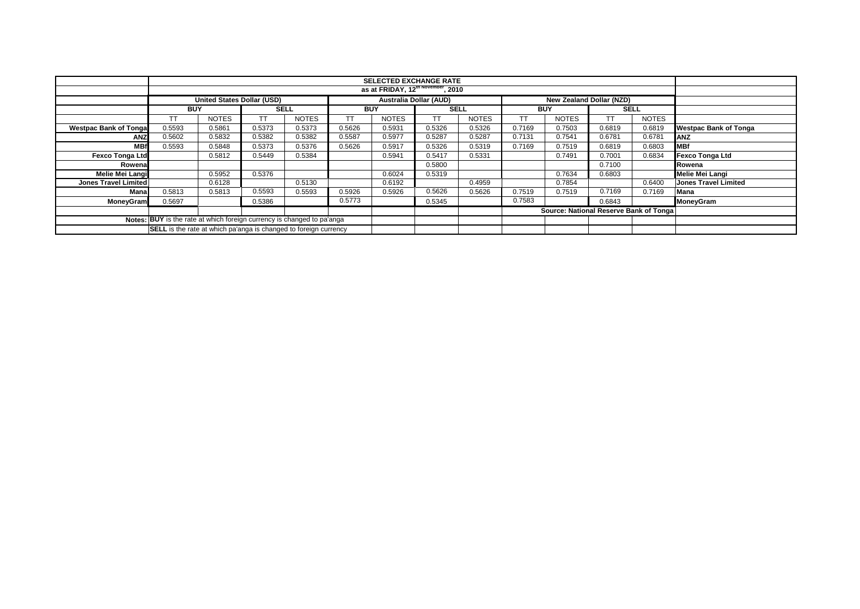| <b>SELECTED EXCHANGE RATE</b>                                          |                                                                         |                                                |        |              |        |                               |        |              |        |                                        |                                 |              |                              |
|------------------------------------------------------------------------|-------------------------------------------------------------------------|------------------------------------------------|--------|--------------|--------|-------------------------------|--------|--------------|--------|----------------------------------------|---------------------------------|--------------|------------------------------|
|                                                                        |                                                                         |                                                |        |              |        |                               |        |              |        |                                        |                                 |              |                              |
|                                                                        |                                                                         | as at FRIDAY, 12 <sup>th November</sup> , 2010 |        |              |        |                               |        |              |        |                                        |                                 |              |                              |
|                                                                        |                                                                         |                                                |        |              |        |                               |        |              |        |                                        |                                 |              |                              |
|                                                                        |                                                                         | <b>United States Dollar (USD)</b>              |        |              |        | <b>Australia Dollar (AUD)</b> |        |              |        |                                        | <b>New Zealand Dollar (NZD)</b> |              |                              |
|                                                                        | <b>BUY</b>                                                              |                                                |        | <b>SELL</b>  |        | <b>BUY</b>                    |        | <b>SELL</b>  |        | <b>BUY</b>                             |                                 | <b>SELL</b>  |                              |
|                                                                        | TT                                                                      | <b>NOTES</b>                                   |        | <b>NOTES</b> | тт     | <b>NOTES</b>                  | TТ     | <b>NOTES</b> |        | <b>NOTES</b>                           | TT                              | <b>NOTES</b> |                              |
| <b>Westpac Bank of Tongal</b>                                          | 0.5593                                                                  | 0.5861                                         | 0.5373 | 0.5373       | 0.5626 | 0.5931                        | 0.5326 | 0.5326       | 0.7169 | 0.7503                                 | 0.6819                          | 0.6819       | <b>Westpac Bank of Tonga</b> |
| <b>ANZ</b>                                                             | 0.5602                                                                  | 0.5832                                         | 0.5382 | 0.5382       | 0.5587 | 0.5977                        | 0.5287 | 0.5287       | 0.7131 | 0.7541                                 | 0.6781                          | 0.6781       | <b>ANZ</b>                   |
| <b>MBf</b>                                                             | 0.5593                                                                  | 0.5848                                         | 0.5373 | 0.5376       | 0.5626 | 0.5917                        | 0.5326 | 0.5319       | 0.7169 | 0.7519                                 | 0.6819                          | 0.6803       | <b>MBf</b>                   |
| <b>Fexco Tonga Ltd</b>                                                 |                                                                         | 0.5812                                         | 0.5449 | 0.5384       |        | 0.5941                        | 0.5417 | 0.5331       |        | 0.7491                                 | 0.7001                          | 0.6834       | <b>Fexco Tonga Ltd</b>       |
| Rowenal                                                                |                                                                         |                                                |        |              |        |                               | 0.5800 |              |        |                                        | 0.7100                          |              | Rowena                       |
| Melie Mei Langi                                                        |                                                                         | 0.5952                                         | 0.5376 |              |        | 0.6024                        | 0.5319 |              |        | 0.7634                                 | 0.6803                          |              | Melie Mei Langi              |
| <b>Jones Travel Limited</b>                                            |                                                                         | 0.6128                                         |        | 0.5130       |        | 0.6192                        |        | 0.4959       |        | 0.7854                                 |                                 | 0.6400       | Jones Travel Limited         |
| Mana                                                                   | 0.5813                                                                  | 0.5813                                         | 0.5593 | 0.5593       | 0.5926 | 0.5926                        | 0.5626 | 0.5626       | 0.7519 | 0.7519                                 | 0.7169                          | 0.7169       | Mana                         |
| <b>MoneyGram</b>                                                       | 0.5697                                                                  |                                                | 0.5386 |              | 0.5773 |                               | 0.5345 |              | 0.7583 |                                        | 0.6843                          |              | MoneyGram                    |
|                                                                        |                                                                         |                                                |        |              |        |                               |        |              |        | Source: National Reserve Bank of Tonga |                                 |              |                              |
| Notes: BUY is the rate at which foreign currency is changed to pa'anga |                                                                         |                                                |        |              |        |                               |        |              |        |                                        |                                 |              |                              |
|                                                                        | <b>SELL</b> is the rate at which pa'anga is changed to foreign currency |                                                |        |              |        |                               |        |              |        |                                        |                                 |              |                              |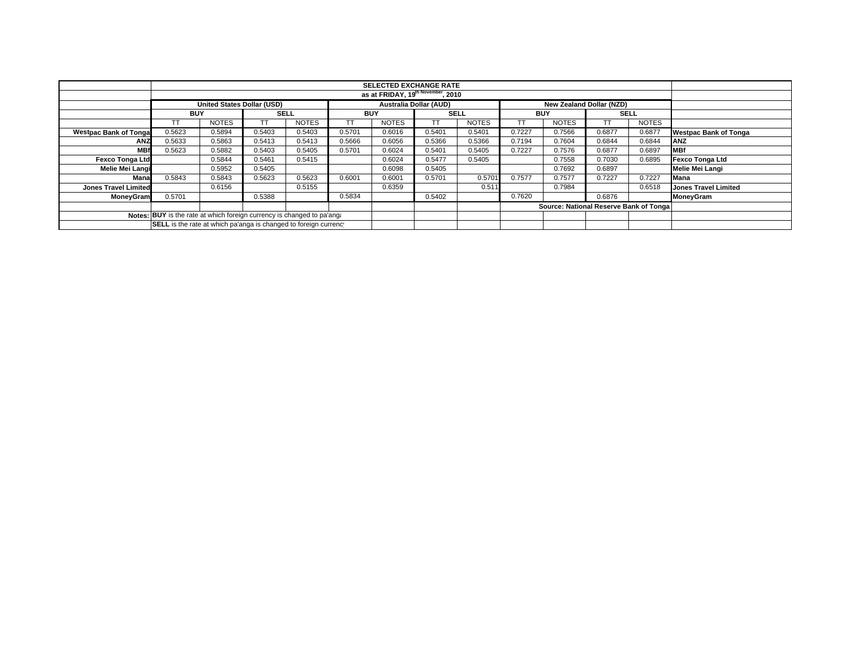|                                                                        |                                                                                         |              |             |              |        | <b>SELECTED EXCHANGE RATE</b> |             |              |            |                                        |             |              |                              |
|------------------------------------------------------------------------|-----------------------------------------------------------------------------------------|--------------|-------------|--------------|--------|-------------------------------|-------------|--------------|------------|----------------------------------------|-------------|--------------|------------------------------|
|                                                                        | as at FRIDAY, 19 <sup>th November</sup> , 2010                                          |              |             |              |        |                               |             |              |            |                                        |             |              |                              |
|                                                                        | <b>United States Dollar (USD)</b><br>New Zealand Dollar (NZD)<br>Australia Dollar (AUD) |              |             |              |        |                               |             |              |            |                                        |             |              |                              |
|                                                                        | <b>BUY</b>                                                                              |              | <b>SELL</b> |              | BUY    |                               | <b>SELL</b> |              | <b>BUY</b> |                                        | <b>SELL</b> |              |                              |
|                                                                        | TΤ                                                                                      | <b>NOTES</b> | TT.         | <b>NOTES</b> | TT     | <b>NOTES</b>                  | TT          | <b>NOTES</b> |            | <b>NOTES</b>                           |             | <b>NOTES</b> |                              |
| <b>Westpac Bank of Tonga</b>                                           | 0.5623                                                                                  | 0.5894       | 0.5403      | 0.5403       | 0.5701 | 0.6016                        | 0.5401      | 0.5401       | 0.7227     | 0.7566                                 | 0.6877      | 0.6877       | <b>Westpac Bank of Tonga</b> |
| <b>ANZ</b>                                                             | 0.5633                                                                                  | 0.5863       | 0.5413      | 0.5413       | 0.5666 | 0.6056                        | 0.5366      | 0.5366       | 0.7194     | 0.7604                                 | 0.6844      | 0.6844       | <b>JANZ</b>                  |
| <b>MBf</b>                                                             | 0.5623                                                                                  | 0.5882       | 0.5403      | 0.5405       | 0.5701 | 0.6024                        | 0.5401      | 0.5405       | 0.7227     | 0.7576                                 | 0.6877      | 0.6897       | <b>MBf</b>                   |
| <b>Fexco Tonga Ltd</b>                                                 |                                                                                         | 0.5844       | 0.5461      | 0.5415       |        | 0.6024                        | 0.5477      | 0.5405       |            | 0.7558                                 | 0.7030      | 0.6895       | Fexco Tonga Ltd              |
| Melie Mei Langi                                                        |                                                                                         | 0.5952       | 0.5405      |              |        | 0.6098                        | 0.5405      |              |            | 0.7692                                 | 0.6897      |              | Melie Mei Langi              |
| Mana                                                                   | 0.5843                                                                                  | 0.5843       | 0.5623      | 0.5623       | 0.6001 | 0.6001                        | 0.5701      | 0.5701       | 0.7577     | 0.7577                                 | 0.7227      | 0.7227       | <b>Mana</b>                  |
| <b>Jones Travel Limited</b>                                            |                                                                                         | 0.6156       |             | 0.5155       |        | 0.6359                        |             | 0.511        |            | 0.7984                                 |             | 0.6518       | <b>Jones Travel Limited</b>  |
| MoneyGram                                                              | 0.5701                                                                                  |              | 0.5388      |              | 0.5834 |                               | 0.5402      |              | 0.7620     |                                        | 0.6876      |              | MoneyGram                    |
|                                                                        |                                                                                         |              |             |              |        |                               |             |              |            | Source: National Reserve Bank of Tonga |             |              |                              |
| Notes: BUY is the rate at which foreign currency is changed to pa'ang: |                                                                                         |              |             |              |        |                               |             |              |            |                                        |             |              |                              |
|                                                                        | SELL is the rate at which pa'anga is changed to foreign currency                        |              |             |              |        |                               |             |              |            |                                        |             |              |                              |